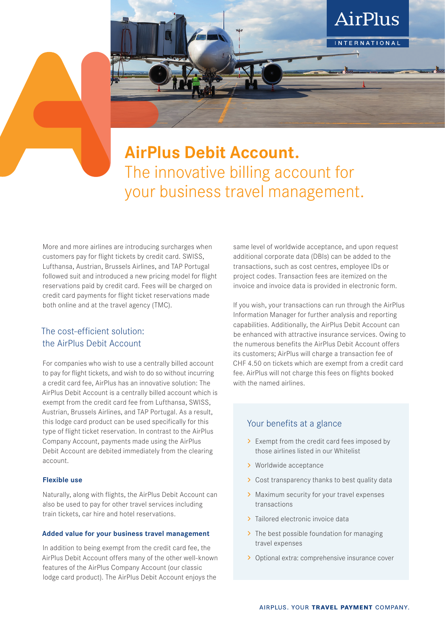

## **AirPlus Debit Account.** The innovative billing account for your business travel management.

More and more airlines are introducing surcharges when customers pay for flight tickets by credit card. SWISS, Lufthansa, Austrian, Brussels Airlines, and TAP Portugal followed suit and introduced a new pricing model for flight reservations paid by credit card. Fees will be charged on credit card payments for flight ticket reservations made both online and at the travel agency (TMC).

### The cost-efficient solution: the AirPlus Debit Account

For companies who wish to use a centrally billed account to pay for flight tickets, and wish to do so without incurring a credit card fee, AirPlus has an innovative solution: The AirPlus Debit Account is a centrally billed account which is exempt from the credit card fee from Lufthansa, SWISS, Austrian, Brussels Airlines, and TAP Portugal. As a result, this lodge card product can be used specifically for this type of flight ticket reservation. In contrast to the AirPlus Company Account, payments made using the AirPlus Debit Account are debited immediately from the clearing account.

#### **Flexible use**

Naturally, along with flights, the AirPlus Debit Account can also be used to pay for other travel services including train tickets, car hire and hotel reservations.

#### **Added value for your business travel management**

In addition to being exempt from the credit card fee, the AirPlus Debit Account offers many of the other well-known features of the AirPlus Company Account (our classic lodge card product). The AirPlus Debit Account enjoys the

same level of worldwide acceptance, and upon request additional corporate data (DBIs) can be added to the transactions, such as cost centres, employee IDs or project codes. Transaction fees are itemized on the invoice and invoice data is provided in electronic form.

If you wish, your transactions can run through the AirPlus Information Manager for further analysis and reporting capabilities. Additionally, the AirPlus Debit Account can be enhanced with attractive insurance services. Owing to the numerous benefits the AirPlus Debit Account offers its customers; AirPlus will charge a transaction fee of CHF 4.50 on tickets which are exempt from a credit card fee. AirPlus will not charge this fees on flights booked with the named airlines.

#### Your benefits at a glance

- > Exempt from the credit card fees imposed by those airlines listed in our Whitelist
- > Worldwide acceptance
- > Cost transparency thanks to best quality data
- > Maximum security for your travel expenses transactions
- > Tailored electronic invoice data
- > The best possible foundation for managing travel expenses
- > Optional extra: comprehensive insurance cover